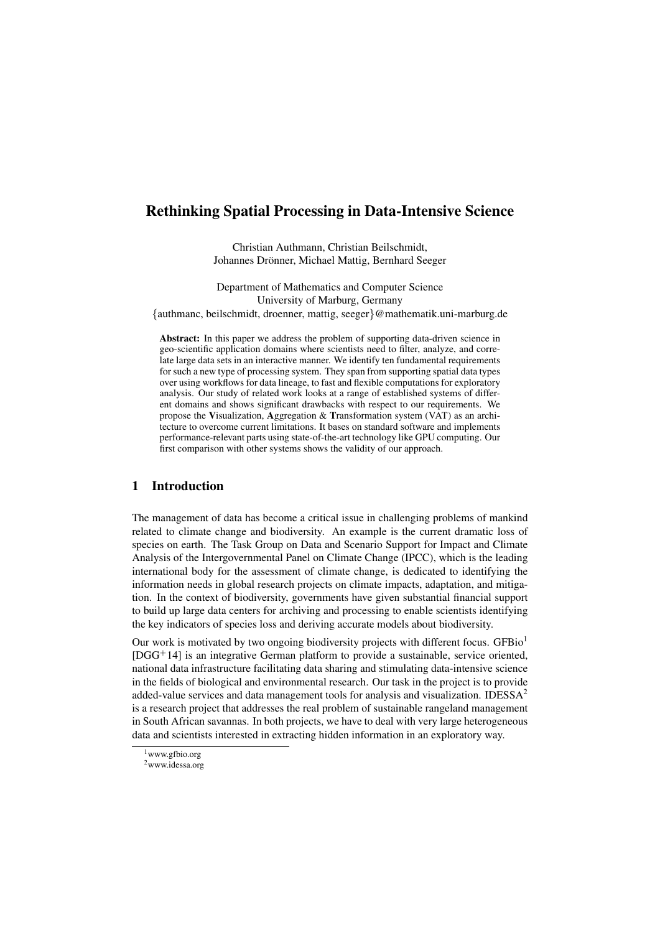# Rethinking Spatial Processing in Data-Intensive Science

Christian Authmann, Christian Beilschmidt, Johannes Drönner, Michael Mattig, Bernhard Seeger

Department of Mathematics and Computer Science University of Marburg, Germany {authmanc, beilschmidt, droenner, mattig, seeger}@mathematik.uni-marburg.de

Abstract: In this paper we address the problem of supporting data-driven science in geo-scientific application domains where scientists need to filter, analyze, and correlate large data sets in an interactive manner. We identify ten fundamental requirements for such a new type of processing system. They span from supporting spatial data types over using workflows for data lineage, to fast and flexible computations for exploratory analysis. Our study of related work looks at a range of established systems of different domains and shows significant drawbacks with respect to our requirements. We propose the Visualization, Aggregation & Transformation system (VAT) as an architecture to overcome current limitations. It bases on standard software and implements performance-relevant parts using state-of-the-art technology like GPU computing. Our first comparison with other systems shows the validity of our approach.

# 1 Introduction

The management of data has become a critical issue in challenging problems of mankind related to climate change and biodiversity. An example is the current dramatic loss of species on earth. The Task Group on Data and Scenario Support for Impact and Climate Analysis of the Intergovernmental Panel on Climate Change (IPCC), which is the leading international body for the assessment of climate change, is dedicated to identifying the information needs in global research projects on climate impacts, adaptation, and mitigation. In the context of biodiversity, governments have given substantial financial support to build up large data centers for archiving and processing to enable scientists identifying the key indicators of species loss and deriving accurate models about biodiversity.

Our work is motivated by two ongoing biodiversity projects with different focus. GFBio<sup>1</sup>  $[DGG<sup>+</sup>14]$  is an integrative German platform to provide a sustainable, service oriented, national data infrastructure facilitating data sharing and stimulating data-intensive science in the fields of biological and environmental research. Our task in the project is to provide added-value services and data management tools for analysis and visualization. IDESS $A<sup>2</sup>$ is a research project that addresses the real problem of sustainable rangeland management in South African savannas. In both projects, we have to deal with very large heterogeneous data and scientists interested in extracting hidden information in an exploratory way.

<sup>&</sup>lt;sup>1</sup>www.gfbio.org

<sup>2</sup>www.idessa.org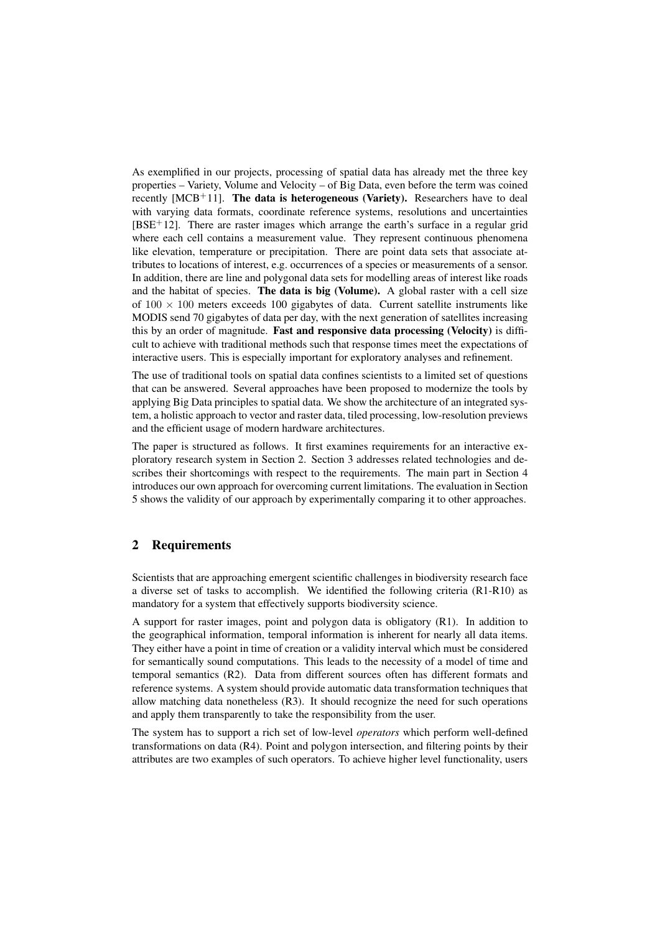As exemplified in our projects, processing of spatial data has already met the three key properties – Variety, Volume and Velocity – of Big Data, even before the term was coined recently  $[MCB+11]$ . The data is heterogeneous (Variety). Researchers have to deal with varying data formats, coordinate reference systems, resolutions and uncertainties  $[BSE+12]$ . There are raster images which arrange the earth's surface in a regular grid where each cell contains a measurement value. They represent continuous phenomena like elevation, temperature or precipitation. There are point data sets that associate attributes to locations of interest, e.g. occurrences of a species or measurements of a sensor. In addition, there are line and polygonal data sets for modelling areas of interest like roads and the habitat of species. The data is big (Volume). A global raster with a cell size of  $100 \times 100$  meters exceeds 100 gigabytes of data. Current satellite instruments like MODIS send 70 gigabytes of data per day, with the next generation of satellites increasing this by an order of magnitude. Fast and responsive data processing (Velocity) is difficult to achieve with traditional methods such that response times meet the expectations of interactive users. This is especially important for exploratory analyses and refinement.

The use of traditional tools on spatial data confines scientists to a limited set of questions that can be answered. Several approaches have been proposed to modernize the tools by applying Big Data principles to spatial data. We show the architecture of an integrated system, a holistic approach to vector and raster data, tiled processing, low-resolution previews and the efficient usage of modern hardware architectures.

The paper is structured as follows. It first examines requirements for an interactive exploratory research system in Section 2. Section 3 addresses related technologies and describes their shortcomings with respect to the requirements. The main part in Section 4 introduces our own approach for overcoming current limitations. The evaluation in Section 5 shows the validity of our approach by experimentally comparing it to other approaches.

### 2 Requirements

Scientists that are approaching emergent scientific challenges in biodiversity research face a diverse set of tasks to accomplish. We identified the following criteria (R1-R10) as mandatory for a system that effectively supports biodiversity science.

A support for raster images, point and polygon data is obligatory (R1). In addition to the geographical information, temporal information is inherent for nearly all data items. They either have a point in time of creation or a validity interval which must be considered for semantically sound computations. This leads to the necessity of a model of time and temporal semantics (R2). Data from different sources often has different formats and reference systems. A system should provide automatic data transformation techniques that allow matching data nonetheless (R3). It should recognize the need for such operations and apply them transparently to take the responsibility from the user.

The system has to support a rich set of low-level *operators* which perform well-defined transformations on data (R4). Point and polygon intersection, and filtering points by their attributes are two examples of such operators. To achieve higher level functionality, users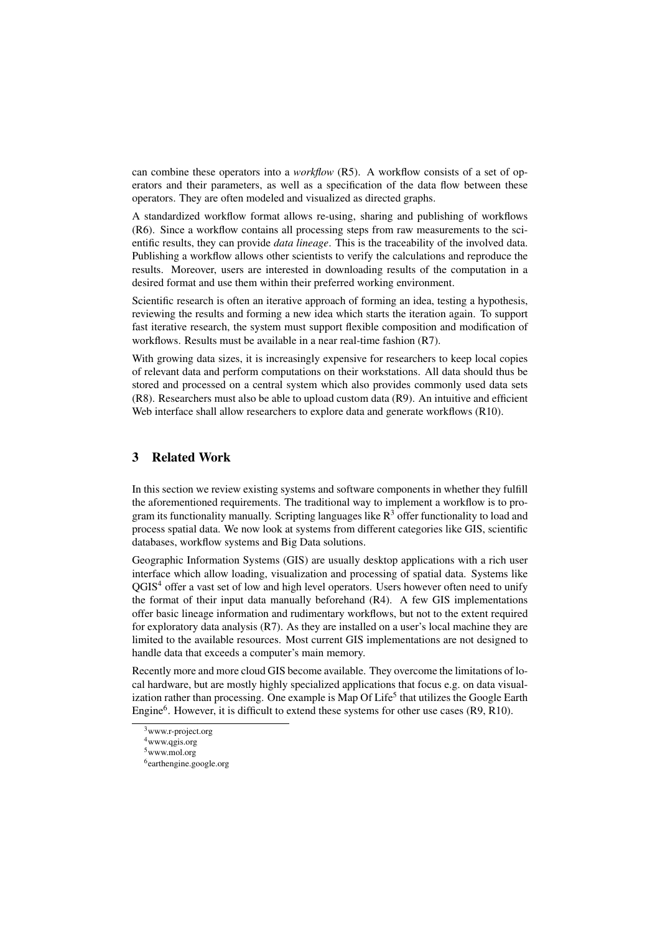can combine these operators into a *workflow* (R5). A workflow consists of a set of operators and their parameters, as well as a specification of the data flow between these operators. They are often modeled and visualized as directed graphs.

A standardized workflow format allows re-using, sharing and publishing of workflows (R6). Since a workflow contains all processing steps from raw measurements to the scientific results, they can provide *data lineage*. This is the traceability of the involved data. Publishing a workflow allows other scientists to verify the calculations and reproduce the results. Moreover, users are interested in downloading results of the computation in a desired format and use them within their preferred working environment.

Scientific research is often an iterative approach of forming an idea, testing a hypothesis, reviewing the results and forming a new idea which starts the iteration again. To support fast iterative research, the system must support flexible composition and modification of workflows. Results must be available in a near real-time fashion (R7).

With growing data sizes, it is increasingly expensive for researchers to keep local copies of relevant data and perform computations on their workstations. All data should thus be stored and processed on a central system which also provides commonly used data sets (R8). Researchers must also be able to upload custom data (R9). An intuitive and efficient Web interface shall allow researchers to explore data and generate workflows (R10).

### 3 Related Work

In this section we review existing systems and software components in whether they fulfill the aforementioned requirements. The traditional way to implement a workflow is to program its functionality manually. Scripting languages like  $R<sup>3</sup>$  offer functionality to load and process spatial data. We now look at systems from different categories like GIS, scientific databases, workflow systems and Big Data solutions.

Geographic Information Systems (GIS) are usually desktop applications with a rich user interface which allow loading, visualization and processing of spatial data. Systems like QGIS<sup>4</sup> offer a vast set of low and high level operators. Users however often need to unify the format of their input data manually beforehand (R4). A few GIS implementations offer basic lineage information and rudimentary workflows, but not to the extent required for exploratory data analysis (R7). As they are installed on a user's local machine they are limited to the available resources. Most current GIS implementations are not designed to handle data that exceeds a computer's main memory.

Recently more and more cloud GIS become available. They overcome the limitations of local hardware, but are mostly highly specialized applications that focus e.g. on data visualization rather than processing. One example is Map Of Life<sup>5</sup> that utilizes the Google Earth Engine<sup>6</sup>. However, it is difficult to extend these systems for other use cases (R9, R10).

<sup>&</sup>lt;sup>3</sup>www.r-project.org

<sup>4</sup>www.qgis.org

<sup>5</sup>www.mol.org

<sup>6</sup> earthengine.google.org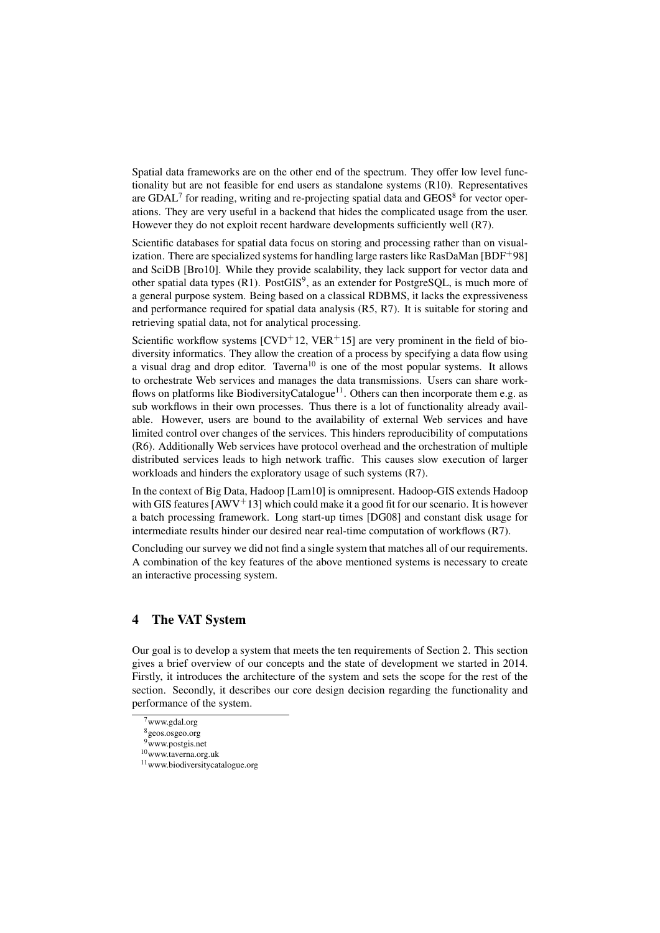Spatial data frameworks are on the other end of the spectrum. They offer low level functionality but are not feasible for end users as standalone systems (R10). Representatives are GDAL<sup>7</sup> for reading, writing and re-projecting spatial data and  $GEOS<sup>8</sup>$  for vector operations. They are very useful in a backend that hides the complicated usage from the user. However they do not exploit recent hardware developments sufficiently well (R7).

Scientific databases for spatial data focus on storing and processing rather than on visualization. There are specialized systems for handling large rasters like RasDaMan [BDF+98] and SciDB [Bro10]. While they provide scalability, they lack support for vector data and other spatial data types (R1). PostGIS<sup>9</sup>, as an extender for PostgreSQL, is much more of a general purpose system. Being based on a classical RDBMS, it lacks the expressiveness and performance required for spatial data analysis (R5, R7). It is suitable for storing and retrieving spatial data, not for analytical processing.

Scientific workflow systems  $[CVD+12, VER+15]$  are very prominent in the field of biodiversity informatics. They allow the creation of a process by specifying a data flow using a visual drag and drop editor. Taverna<sup>10</sup> is one of the most popular systems. It allows to orchestrate Web services and manages the data transmissions. Users can share workflows on platforms like BiodiversityCatalogue<sup>11</sup>. Others can then incorporate them e.g. as sub workflows in their own processes. Thus there is a lot of functionality already available. However, users are bound to the availability of external Web services and have limited control over changes of the services. This hinders reproducibility of computations (R6). Additionally Web services have protocol overhead and the orchestration of multiple distributed services leads to high network traffic. This causes slow execution of larger workloads and hinders the exploratory usage of such systems (R7).

In the context of Big Data, Hadoop [Lam10] is omnipresent. Hadoop-GIS extends Hadoop with GIS features  $[AWV^+13]$  which could make it a good fit for our scenario. It is however a batch processing framework. Long start-up times [DG08] and constant disk usage for intermediate results hinder our desired near real-time computation of workflows (R7).

Concluding our survey we did not find a single system that matches all of our requirements. A combination of the key features of the above mentioned systems is necessary to create an interactive processing system.

### 4 The VAT System

Our goal is to develop a system that meets the ten requirements of Section 2. This section gives a brief overview of our concepts and the state of development we started in 2014. Firstly, it introduces the architecture of the system and sets the scope for the rest of the section. Secondly, it describes our core design decision regarding the functionality and performance of the system.

<sup>&</sup>lt;sup>7</sup>www.gdal.org

<sup>8</sup>geos.osgeo.org <sup>9</sup>www.postgis.net

<sup>10</sup>www.taverna.org.uk

<sup>11</sup>www.biodiversitycatalogue.org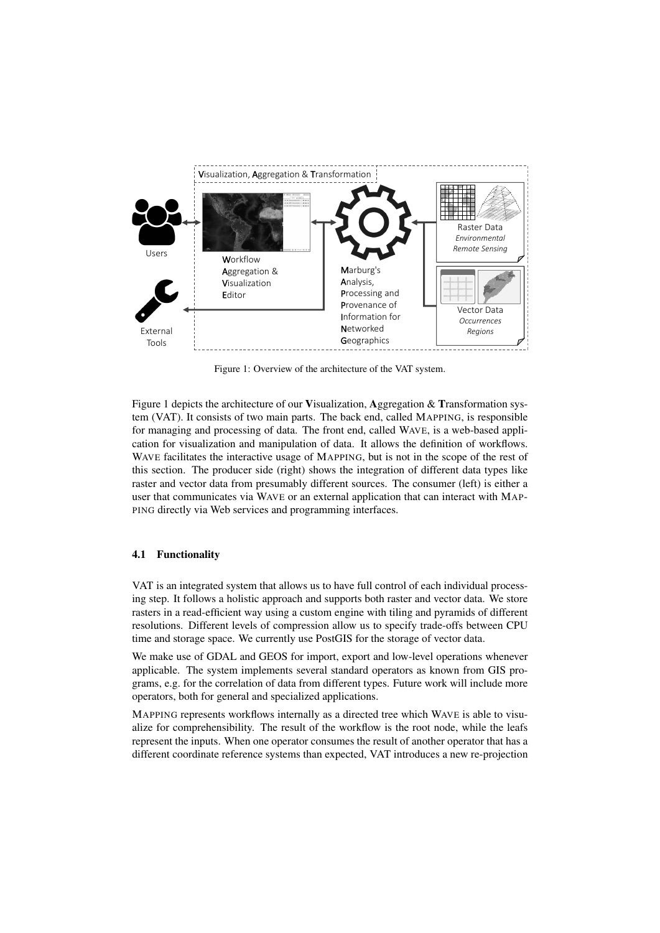

Figure 1: Overview of the architecture of the VAT system.

Figure 1 depicts the architecture of our Visualization, Aggregation & Transformation system (VAT). It consists of two main parts. The back end, called MAPPING, is responsible for managing and processing of data. The front end, called WAVE, is a web-based application for visualization and manipulation of data. It allows the definition of workflows. WAVE facilitates the interactive usage of MAPPING, but is not in the scope of the rest of this section. The producer side (right) shows the integration of different data types like raster and vector data from presumably different sources. The consumer (left) is either a user that communicates via WAVE or an external application that can interact with MAP-PING directly via Web services and programming interfaces.

### 4.1 Functionality

VAT is an integrated system that allows us to have full control of each individual processing step. It follows a holistic approach and supports both raster and vector data. We store rasters in a read-efficient way using a custom engine with tiling and pyramids of different resolutions. Different levels of compression allow us to specify trade-offs between CPU time and storage space. We currently use PostGIS for the storage of vector data.

We make use of GDAL and GEOS for import, export and low-level operations whenever applicable. The system implements several standard operators as known from GIS programs, e.g. for the correlation of data from different types. Future work will include more operators, both for general and specialized applications.

MAPPING represents workflows internally as a directed tree which WAVE is able to visualize for comprehensibility. The result of the workflow is the root node, while the leafs represent the inputs. When one operator consumes the result of another operator that has a different coordinate reference systems than expected, VAT introduces a new re-projection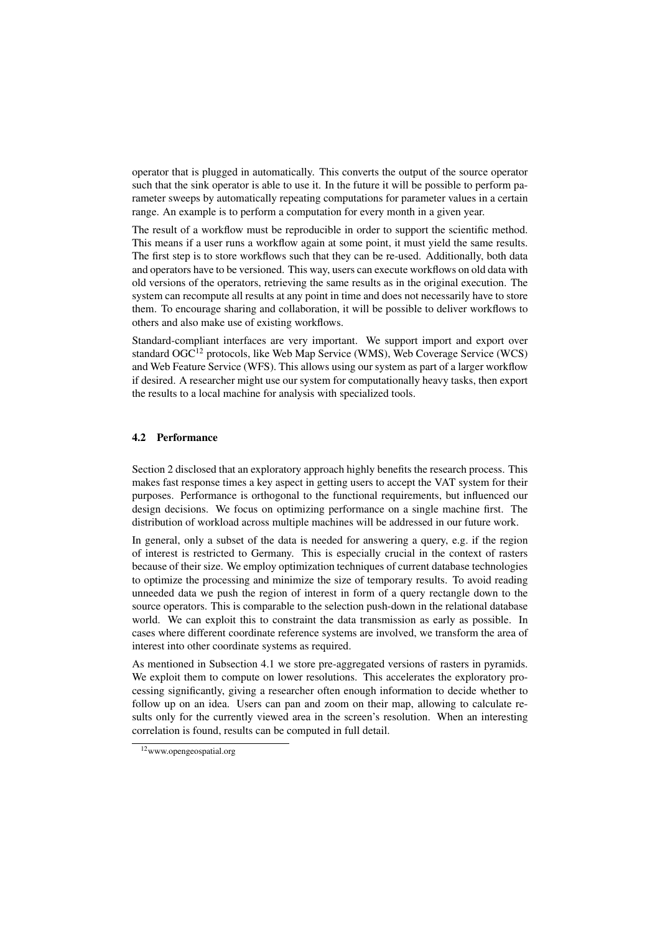operator that is plugged in automatically. This converts the output of the source operator such that the sink operator is able to use it. In the future it will be possible to perform parameter sweeps by automatically repeating computations for parameter values in a certain range. An example is to perform a computation for every month in a given year.

The result of a workflow must be reproducible in order to support the scientific method. This means if a user runs a workflow again at some point, it must yield the same results. The first step is to store workflows such that they can be re-used. Additionally, both data and operators have to be versioned. This way, users can execute workflows on old data with old versions of the operators, retrieving the same results as in the original execution. The system can recompute all results at any point in time and does not necessarily have to store them. To encourage sharing and collaboration, it will be possible to deliver workflows to others and also make use of existing workflows.

Standard-compliant interfaces are very important. We support import and export over standard OGC<sup>12</sup> protocols, like Web Map Service (WMS), Web Coverage Service (WCS) and Web Feature Service (WFS). This allows using our system as part of a larger workflow if desired. A researcher might use our system for computationally heavy tasks, then export the results to a local machine for analysis with specialized tools.

#### 4.2 Performance

Section 2 disclosed that an exploratory approach highly benefits the research process. This makes fast response times a key aspect in getting users to accept the VAT system for their purposes. Performance is orthogonal to the functional requirements, but influenced our design decisions. We focus on optimizing performance on a single machine first. The distribution of workload across multiple machines will be addressed in our future work.

In general, only a subset of the data is needed for answering a query, e.g. if the region of interest is restricted to Germany. This is especially crucial in the context of rasters because of their size. We employ optimization techniques of current database technologies to optimize the processing and minimize the size of temporary results. To avoid reading unneeded data we push the region of interest in form of a query rectangle down to the source operators. This is comparable to the selection push-down in the relational database world. We can exploit this to constraint the data transmission as early as possible. In cases where different coordinate reference systems are involved, we transform the area of interest into other coordinate systems as required.

As mentioned in Subsection 4.1 we store pre-aggregated versions of rasters in pyramids. We exploit them to compute on lower resolutions. This accelerates the exploratory processing significantly, giving a researcher often enough information to decide whether to follow up on an idea. Users can pan and zoom on their map, allowing to calculate results only for the currently viewed area in the screen's resolution. When an interesting correlation is found, results can be computed in full detail.

<sup>12</sup>www.opengeospatial.org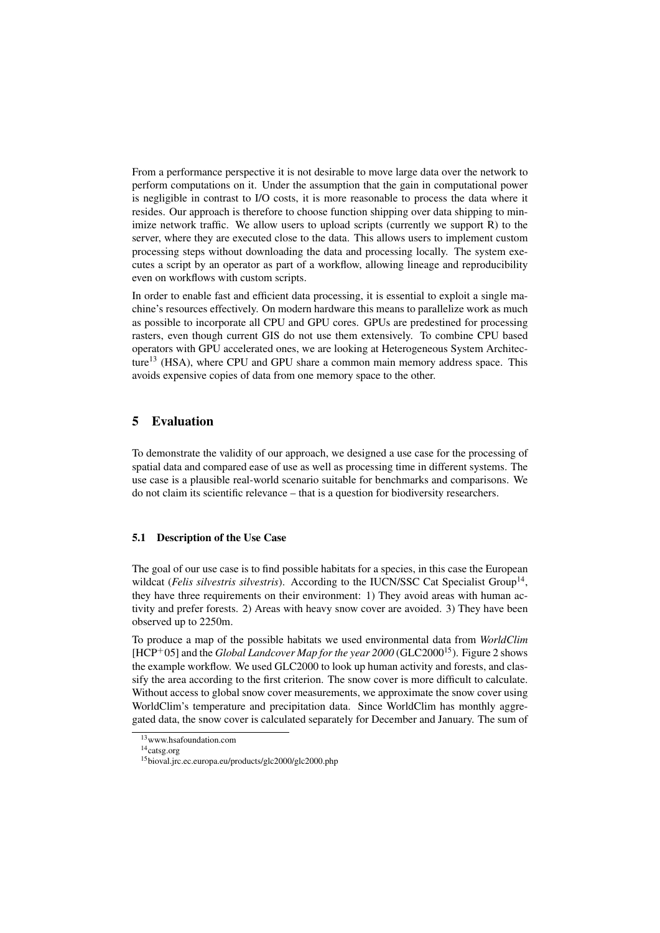From a performance perspective it is not desirable to move large data over the network to perform computations on it. Under the assumption that the gain in computational power is negligible in contrast to I/O costs, it is more reasonable to process the data where it resides. Our approach is therefore to choose function shipping over data shipping to minimize network traffic. We allow users to upload scripts (currently we support R) to the server, where they are executed close to the data. This allows users to implement custom processing steps without downloading the data and processing locally. The system executes a script by an operator as part of a workflow, allowing lineage and reproducibility even on workflows with custom scripts.

In order to enable fast and efficient data processing, it is essential to exploit a single machine's resources effectively. On modern hardware this means to parallelize work as much as possible to incorporate all CPU and GPU cores. GPUs are predestined for processing rasters, even though current GIS do not use them extensively. To combine CPU based operators with GPU accelerated ones, we are looking at Heterogeneous System Architecture<sup>13</sup> (HSA), where CPU and GPU share a common main memory address space. This avoids expensive copies of data from one memory space to the other.

## 5 Evaluation

To demonstrate the validity of our approach, we designed a use case for the processing of spatial data and compared ease of use as well as processing time in different systems. The use case is a plausible real-world scenario suitable for benchmarks and comparisons. We do not claim its scientific relevance – that is a question for biodiversity researchers.

#### 5.1 Description of the Use Case

The goal of our use case is to find possible habitats for a species, in this case the European wildcat (Felis silvestris silvestris). According to the IUCN/SSC Cat Specialist Group<sup>14</sup>, they have three requirements on their environment: 1) They avoid areas with human activity and prefer forests. 2) Areas with heavy snow cover are avoided. 3) They have been observed up to 2250m.

To produce a map of the possible habitats we used environmental data from *WorldClim* [HCP<sup>+</sup>05] and the *Global Landcover Map for the year 2000* (GLC2000<sup>15</sup>). Figure 2 shows the example workflow. We used GLC2000 to look up human activity and forests, and classify the area according to the first criterion. The snow cover is more difficult to calculate. Without access to global snow cover measurements, we approximate the snow cover using WorldClim's temperature and precipitation data. Since WorldClim has monthly aggregated data, the snow cover is calculated separately for December and January. The sum of

<sup>13</sup>www.hsafoundation.com

<sup>14</sup>catsg.org

<sup>15</sup>bioval.jrc.ec.europa.eu/products/glc2000/glc2000.php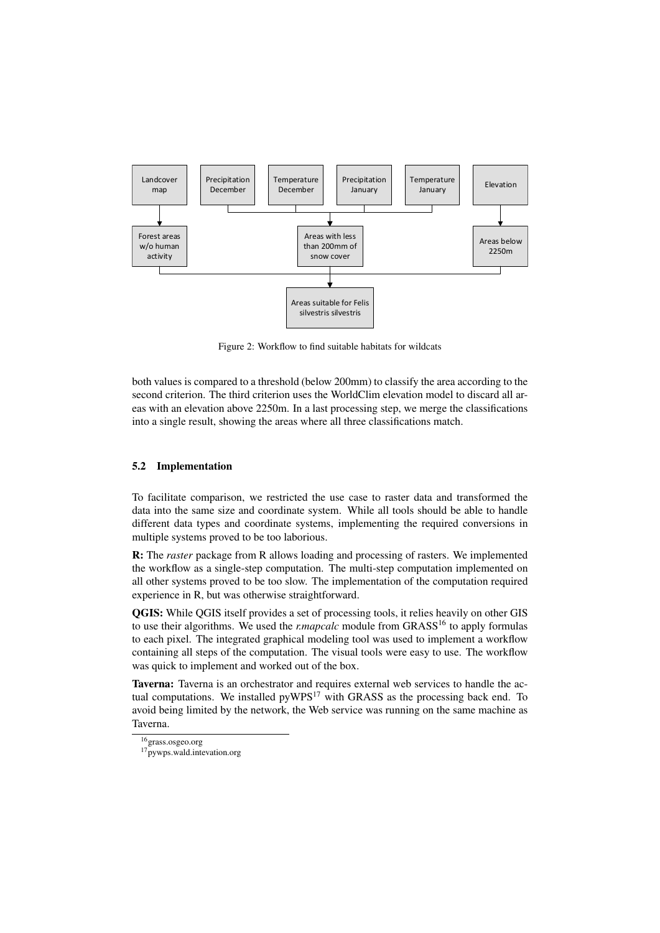

Figure 2: Workflow to find suitable habitats for wildcats

both values is compared to a threshold (below 200mm) to classify the area according to the second criterion. The third criterion uses the WorldClim elevation model to discard all areas with an elevation above 2250m. In a last processing step, we merge the classifications into a single result, showing the areas where all three classifications match.

### 5.2 Implementation

To facilitate comparison, we restricted the use case to raster data and transformed the data into the same size and coordinate system. While all tools should be able to handle different data types and coordinate systems, implementing the required conversions in multiple systems proved to be too laborious.

R: The *raster* package from R allows loading and processing of rasters. We implemented the workflow as a single-step computation. The multi-step computation implemented on all other systems proved to be too slow. The implementation of the computation required experience in R, but was otherwise straightforward.

QGIS: While QGIS itself provides a set of processing tools, it relies heavily on other GIS to use their algorithms. We used the *r.mapcalc* module from GRASS<sup>16</sup> to apply formulas to each pixel. The integrated graphical modeling tool was used to implement a workflow containing all steps of the computation. The visual tools were easy to use. The workflow was quick to implement and worked out of the box.

Taverna: Taverna is an orchestrator and requires external web services to handle the actual computations. We installed  $pyWPS<sup>17</sup>$  with GRASS as the processing back end. To avoid being limited by the network, the Web service was running on the same machine as Taverna.

<sup>16</sup>grass.osgeo.org

<sup>&</sup>lt;sup>17</sup>pywps.wald.intevation.org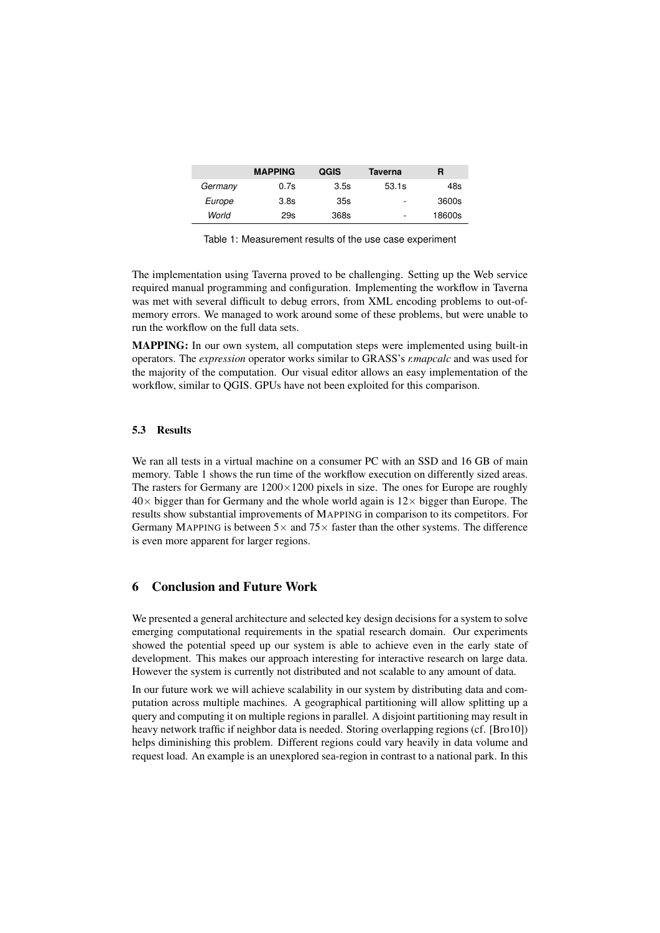|         | <b>MAPPING</b>   | QGIS | Taverna                  | R      |
|---------|------------------|------|--------------------------|--------|
| Germany | 0.7s             | 3.5s | 53.1s                    | 48s    |
| Europe  | 3.8 <sub>S</sub> | 35s  | $\overline{\phantom{a}}$ | 3600s  |
| World   | 29s              | 368s | $\overline{\phantom{a}}$ | 18600s |

Table 1: Measurement results of the use case experiment

The implementation using Taverna proved to be challenging. Setting up the Web service required manual programming and configuration. Implementing the workflow in Taverna was met with several difficult to debug errors, from XML encoding problems to out-ofmemory errors. We managed to work around some of these problems, but were unable to run the workflow on the full data sets.

MAPPING: In our own system, all computation steps were implemented using built-in operators. The *expression* operator works similar to GRASS's *r.mapcalc* and was used for the majority of the computation. Our visual editor allows an easy implementation of the workflow, similar to QGIS. GPUs have not been exploited for this comparison.

### 5.3 Results

We ran all tests in a virtual machine on a consumer PC with an SSD and 16 GB of main memory. Table 1 shows the run time of the workflow execution on differently sized areas. The rasters for Germany are  $1200 \times 1200$  pixels in size. The ones for Europe are roughly  $40\times$  bigger than for Germany and the whole world again is  $12\times$  bigger than Europe. The results show substantial improvements of MAPPING in comparison to its competitors. For Germany MAPPING is between  $5 \times$  and  $75 \times$  faster than the other systems. The difference is even more apparent for larger regions.

### 6 Conclusion and Future Work

We presented a general architecture and selected key design decisions for a system to solve emerging computational requirements in the spatial research domain. Our experiments showed the potential speed up our system is able to achieve even in the early state of development. This makes our approach interesting for interactive research on large data. However the system is currently not distributed and not scalable to any amount of data.

In our future work we will achieve scalability in our system by distributing data and computation across multiple machines. A geographical partitioning will allow splitting up a query and computing it on multiple regions in parallel. A disjoint partitioning may result in heavy network traffic if neighbor data is needed. Storing overlapping regions (cf. [Bro10]) helps diminishing this problem. Different regions could vary heavily in data volume and request load. An example is an unexplored sea-region in contrast to a national park. In this